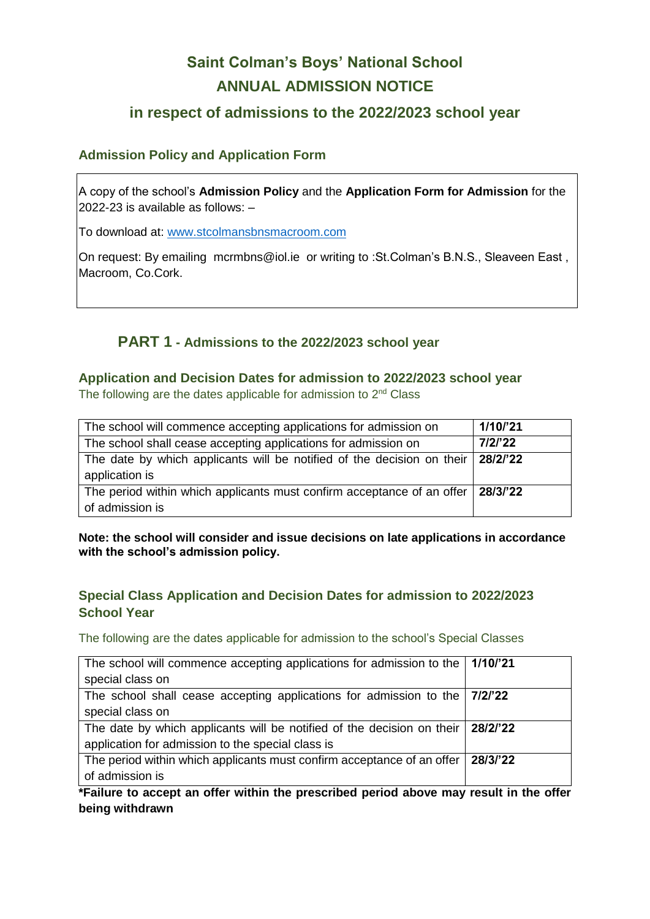# **Saint Colman's Boys' National School ANNUAL ADMISSION NOTICE**

## **in respect of admissions to the 2022/2023 school year**

#### **Admission Policy and Application Form**

A copy of the school's **Admission Policy** and the **Application Form for Admission** for the 2022-23 is available as follows: –

To download at: www.stcolmansbnsmacroom.com

On request: By emailing mcrmbns@iol.ie or writing to :St.Colman's B.N.S., Sleaveen East , Macroom, Co.Cork.

## **PART 1 - Admissions to the 2022/2023 school year**

#### **Application and Decision Dates for admission to 2022/2023 school year**

The following are the dates applicable for admission to 2<sup>nd</sup> Class

| The school will commence accepting applications for admission on                                           | 1/10/21  |
|------------------------------------------------------------------------------------------------------------|----------|
| The school shall cease accepting applications for admission on                                             | 7/2/22   |
| The date by which applicants will be notified of the decision on their $\frac{28}{2}$ 22<br>application is |          |
| The period within which applicants must confirm acceptance of an offer<br>of admission is                  | 28/3/'22 |

**Note: the school will consider and issue decisions on late applications in accordance with the school's admission policy.**

### **Special Class Application and Decision Dates for admission to 2022/2023 School Year**

The following are the dates applicable for admission to the school's Special Classes

| The school will commence accepting applications for admission to the $\vert$ 1/10/21 |          |
|--------------------------------------------------------------------------------------|----------|
| special class on                                                                     |          |
| The school shall cease accepting applications for admission to the                   | 7/2/'22  |
| special class on                                                                     |          |
| The date by which applicants will be notified of the decision on their               | 28/2/'22 |
| application for admission to the special class is                                    |          |
| The period within which applicants must confirm acceptance of an offer               | 28/3/'22 |
| of admission is                                                                      |          |

**\*Failure to accept an offer within the prescribed period above may result in the offer being withdrawn**